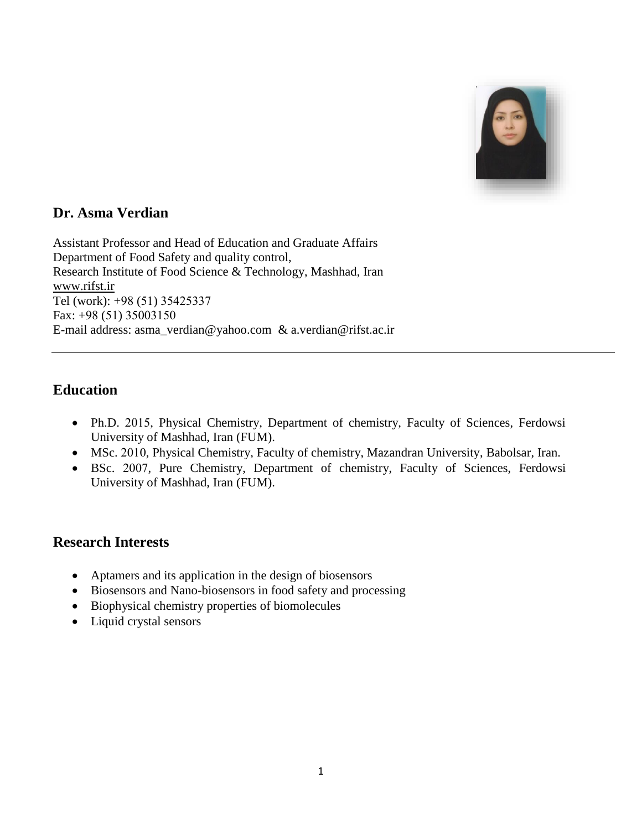

## **Dr. Asma Verdian**

Assistant Professor and Head of Education and Graduate Affairs Department of Food Safety and quality control, Research Institute of Food Science & Technology, Mashhad, Iran [www.rifst.ir](http://www.rifst.ir/) Tel (work): +98 (51) 35425337 Fax: +98 (51) 35003150 E-mail address: [asma\\_verdian@yahoo.com](mailto:asma_verdian@yahoo.com) & [a.verdian@rifst.ac.ir](mailto:a.verdian@rifst.ac.ir)

# **Education**

- Ph.D. 2015, Physical Chemistry, Department of chemistry, Faculty of Sciences, Ferdowsi University of Mashhad, Iran (FUM).
- MSc. 2010, Physical Chemistry, Faculty of chemistry, Mazandran University, Babolsar, Iran.
- BSc. 2007, Pure Chemistry, Department of chemistry, Faculty of Sciences, Ferdowsi University of Mashhad, Iran (FUM).

### **Research Interests**

- Aptamers and its application in the design of biosensors
- Biosensors and Nano-biosensors in food safety and processing
- Biophysical chemistry properties of biomolecules
- Liquid crystal sensors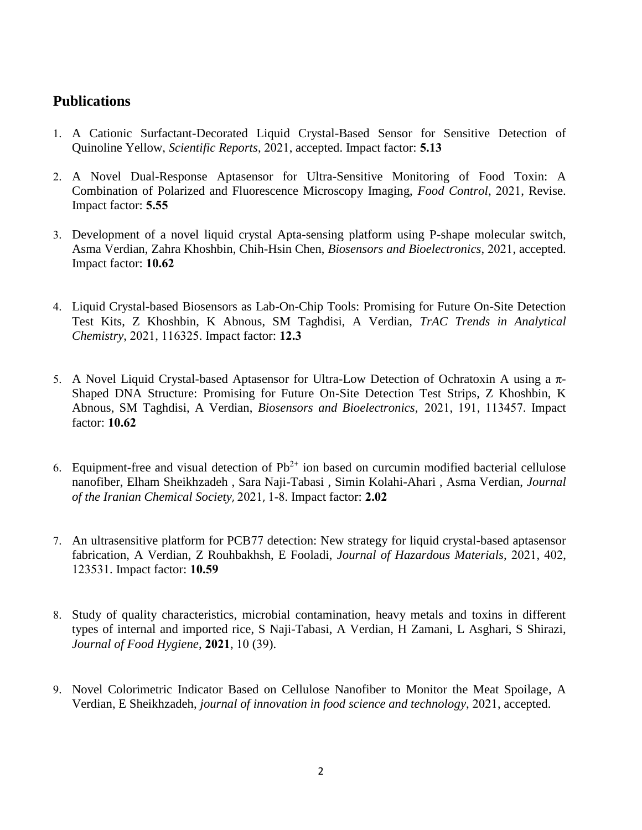### **Publications**

- 1. A Cationic Surfactant-Decorated Liquid Crystal-Based Sensor for Sensitive Detection of Quinoline Yellow, *Scientific Reports*, 2021, accepted. Impact factor: **5.13**
- 2. A Novel Dual-Response Aptasensor for Ultra-Sensitive Monitoring of Food Toxin: A Combination of Polarized and Fluorescence Microscopy Imaging, *Food Control*, 2021, Revise. Impact factor: **5.55**
- 3. [Development of a novel liquid crystal Apta-sensing platform using P-shape molecular switch,](https://www.sciencedirect.com/science/article/pii/S0956566321009192) Asma Verdian, Zahra Khoshbin, Chih-Hsin Chen, *[Biosensors and Bioelectronics](https://www.sciencedirect.com/science/journal/09565663)*, 2021, accepted. Impact factor: **10.62**
- 4. [Liquid Crystal-based Biosensors as Lab-On-Chip Tools: Promising for Future On-Site Detection](javascript:void(0))  [Test Kits,](javascript:void(0)) Z Khoshbin, K Abnous, SM Taghdisi, A Verdian, *TrAC Trends in Analytical Chemistry*, 2021, 116325. Impact factor: **12.3**
- 5. [A Novel Liquid Crystal-based Aptasensor for Ultra-Low Detection of Ochratoxin A using a π-](https://www.sciencedirect.com/science/article/pii/S0956566321004942)[Shaped DNA Structure: Promising for Future On-Site Detection Test Strips,](https://www.sciencedirect.com/science/article/pii/S0956566321004942) Z Khoshbin, K Abnous, SM Taghdisi, A Verdian, *[Biosensors and Bioelectronics,](https://www.sciencedirect.com/science/journal/09565663)* 2021, 191, 113457. Impact factor: **10.62**
- 6. Equipment-free and visual detection of  $Pb^{2+}$  ion based on curcumin modified bacterial cellulose nanofiber, Elham Sheikhzadeh , Sara Naji-Tabasi , Simin Kolahi-Ahari , Asma Verdian, *Journal of the Iranian Chemical Society*, 2021, 1-8. Impact factor: **2.02**
- 7. An ultrasensitive platform for PCB77 [detection: New strategy for liquid crystal-based aptasensor](javascript:void(0))  [fabrication,](javascript:void(0)) A Verdian, Z Rouhbakhsh, E Fooladi, *Journal of Hazardous Materials*, 2021, 402, 123531. Impact factor: **10.59**
- 8. [Study of quality characteristics, microbial contamination, heavy metals and toxins in different](javascript:void(0))  [types of internal and imported rice,](javascript:void(0)) S Naji-Tabasi, A Verdian, H Zamani, L Asghari, S Shirazi, *Journal of Food Hygiene*, **2021**, 10 (39).
- 9. [Novel Colorimetric Indicator Based on Cellulose Nanofiber to Monitor the Meat Spoilage,](javascript:void(0)) A Verdian, E Sheikhzadeh, *journal of innovation in food science and technology*, 2021, accepted.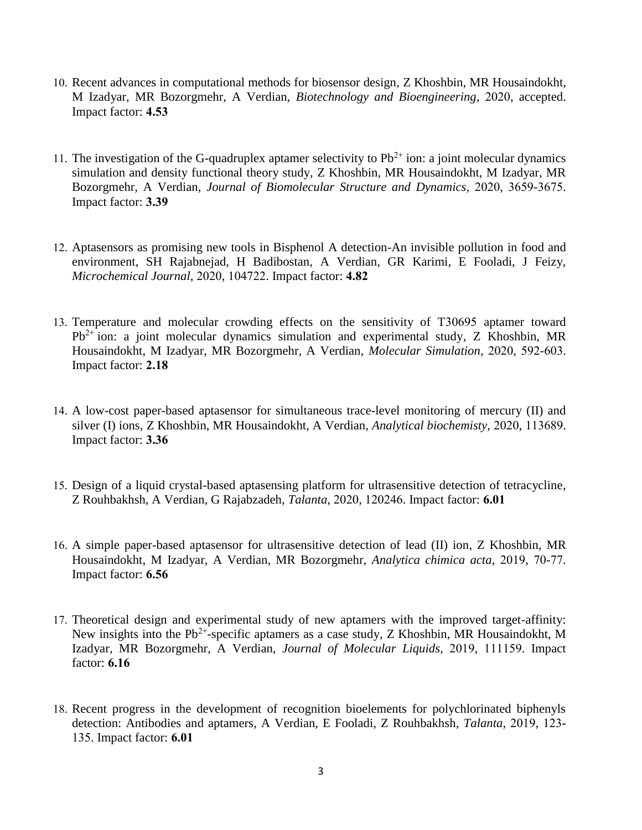- 10. [Recent advances in computational methods for biosensor design,](javascript:void(0)) Z Khoshbin, MR Housaindokht, M Izadyar, MR Bozorgmehr, A Verdian, *Biotechnology and Bioengineering*, 2020, accepted. Impact factor: **4.53**
- 11. The investigation of the G-quadruplex aptamer selectivity to  $Pb^{2+}$  ion: a joint molecular dynamics [simulation and density functional theory study,](javascript:void(0)) Z Khoshbin, MR Housaindokht, M Izadyar, MR Bozorgmehr, A Verdian, *Journal of Biomolecular Structure and Dynamics*, 2020, 3659-3675. Impact factor: **3.39**
- 12. [Aptasensors as promising new tools in Bisphenol A detection-An invisible pollution in food and](javascript:void(0))  [environment,](javascript:void(0)) SH Rajabnejad, H Badibostan, A Verdian, GR Karimi, E Fooladi, J Feizy, *Microchemical Journal*, 2020, 104722. Impact factor: **4.82**
- 13. [Temperature and molecular crowding effects on the sensitivity of T30695](javascript:void(0)) aptamer toward  $Pb^{2+}$  [ion: a joint molecular dynamics simulation and experimental study,](javascript:void(0)) Z Khoshbin, MR Housaindokht, M Izadyar, MR Bozorgmehr, A Verdian, *Molecular Simulation*, 2020, 592-603. Impact factor: **2.18**
- 14. [A low-cost paper-based aptasensor for simultaneous trace-level monitoring of mercury \(II\) and](javascript:void(0))  [silver \(I\) ions,](javascript:void(0)) Z Khoshbin, MR Housaindokht, A Verdian, *Analytical biochemisty*, 2020, 113689. Impact factor: **3.36**
- 15. [Design of a liquid crystal-based aptasensing platform for ultrasensitive detection of tetracycline,](javascript:void(0)) Z Rouhbakhsh, A Verdian, G Rajabzadeh, *Talanta*, 2020, 120246. Impact factor: **6.01**
- 16. [A simple paper-based aptasensor for ultrasensitive detection of lead \(II\) ion,](javascript:void(0)) Z Khoshbin, MR Housaindokht, M Izadyar, A Verdian, MR Bozorgmehr, *Analytica chimica acta*, 2019, 70-77. Impact factor: **6.56**
- 17. [Theoretical design and experimental study of new aptamers with the improved target-affinity:](javascript:void(0))  New insights into the  $Pb^{2+}$ [-specific aptamers as a case study,](javascript:void(0)) Z Khoshbin, MR Housaindokht, M Izadyar, MR Bozorgmehr, A Verdian, *Journal of Molecular Liquids*, 2019, 111159. Impact factor: **6.16**
- 18. [Recent progress in the development of recognition bioelements for polychlorinated biphenyls](javascript:void(0))  [detection: Antibodies and aptamers,](javascript:void(0)) A Verdian, E Fooladi, Z Rouhbakhsh, *Talanta*, 2019, 123- 135. Impact factor: **6.01**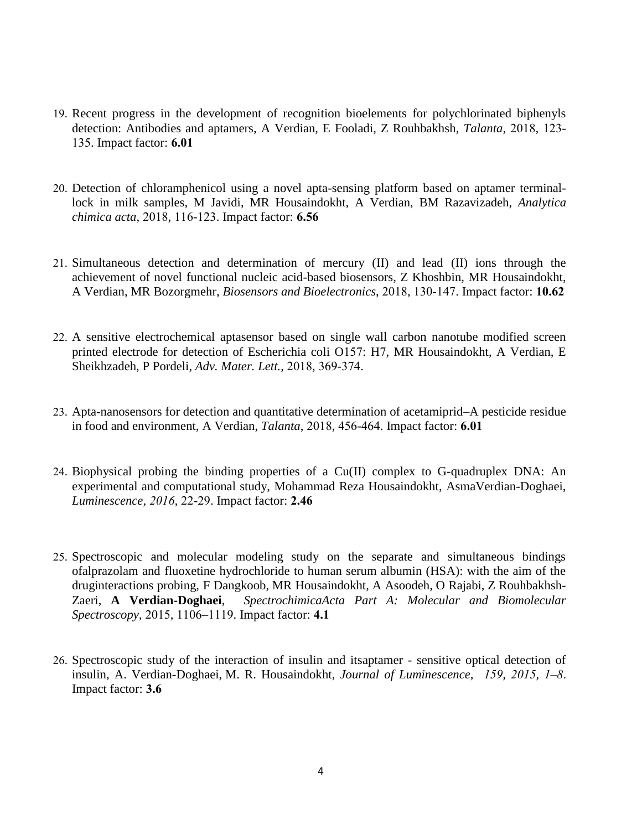- 19. [Recent progress in the development of recognition bioelements](javascript:void(0)) for polychlorinated biphenyls [detection: Antibodies and aptamers,](javascript:void(0)) A Verdian, E Fooladi, Z Rouhbakhsh, *Talanta*, 2018, 123- 135. Impact factor: **6.01**
- 20. [Detection of chloramphenicol using a novel apta-sensing platform based on aptamer terminal](javascript:void(0))[lock in milk samples,](javascript:void(0)) M Javidi, MR Housaindokht, A Verdian, BM Razavizadeh, *Analytica chimica acta*, 2018, 116-123. Impact factor: **6.56**
- 21. [Simultaneous detection and determination of mercury \(II\) and lead](javascript:void(0)) (II) ions through the [achievement of novel functional nucleic acid-based biosensors,](javascript:void(0)) Z Khoshbin, MR Housaindokht, A Verdian, MR Bozorgmehr, *Biosensors and Bioelectronics*, 2018, 130-147. Impact factor: **10.62**
- 22. [A sensitive electrochemical aptasensor based on single wall carbon nanotube modified screen](javascript:void(0))  [printed electrode for detection of Escherichia coli O157: H7,](javascript:void(0)) MR Housaindokht, A Verdian, E Sheikhzadeh, P Pordeli, *Adv. Mater. Lett.*, 2018, 369-374.
- 23. [Apta-nanosensors for detection and quantitative determination of acetamiprid–A pesticide residue](javascript:void(0))  [in food and environment,](javascript:void(0)) A Verdian, *Talanta*, 2018, 456-464. Impact factor: **6.01**
- 24. Biophysical probing the binding properties of a  $Cu(II)$  complex to G-quadruplex DNA: An experimental and computational study, [Mohammad Reza Housaindokht,](http://www.researchgate.net/researcher/82627578_Mohammad_Reza_Housaindokht) AsmaVerdian-Doghaei, *Luminescence, 2016,* 22-29. Impact factor: **2.46**
- 25. Spectroscopic and molecular modeling study on the separate and simultaneous bindings ofalprazolam and fluoxetine hydrochloride to human serum albumin (HSA): with the aim of the druginteractions probing, F [Dangkoob,](http://www.researchgate.net/researcher/2055711739_Faeze_Dangkoob) [MR Housaindokht,](http://www.researchgate.net/researcher/2055713898_Mohmmad_Reza_Housaindokht) A [Asoodeh,](http://www.researchgate.net/researcher/39516105_Ahmad_Asoodeh) O [Rajabi,](http://www.researchgate.net/researcher/2055704028_Omid_Rajabi) Z [Rouhbakhsh-](http://www.researchgate.net/researcher/59011383_Zeinab_Rouhbakhsh_Zaeri)[Zaeri,](http://www.researchgate.net/researcher/59011383_Zeinab_Rouhbakhsh_Zaeri) **A Verdian-Doghaei**, *SpectrochimicaActa Part A: Molecular and Biomolecular Spectroscopy,* 2015, 1106–1119. Impact factor: **4.1**
- 26. Spectroscopic study of the interaction of insulin and itsaptamer sensitive optical detection of insulin, A. Verdian-Doghaei, [M. R. Housaindokht,](http://www.researchgate.net/researcher/82627578_M_R_Housaindokht) *Journal of Luminescence, [159,](http://www.sciencedirect.com/science/journal/00222313/159/supp/C) 2015, 1–8*. Impact factor: **3.6**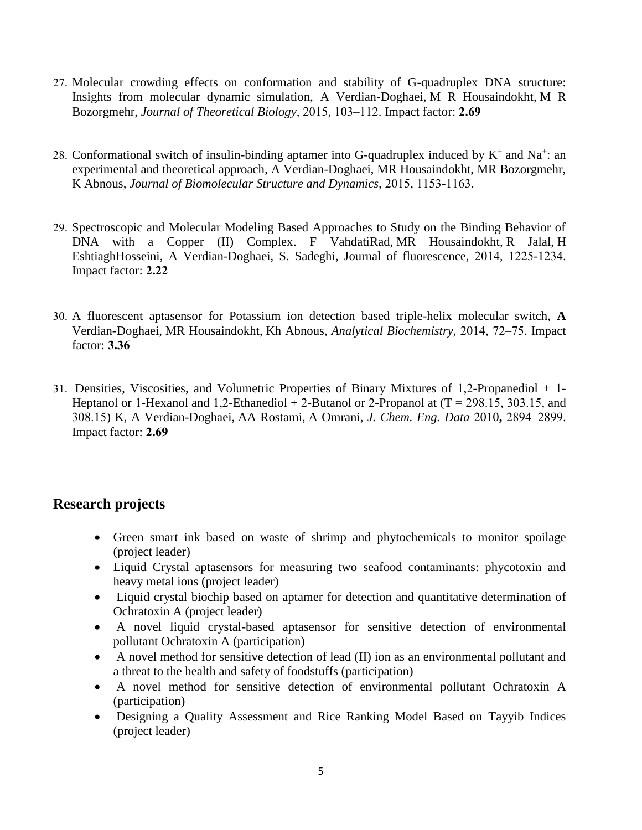- 27. Molecular crowding effects on conformation and stability of G-quadruplex DNA structure: Insights from molecular dynamic simulation, A Verdian-Doghaei, [M R Housaindokht,](http://www.researchgate.net/researcher/82627578_M_R_Housaindokht) [M R](http://www.researchgate.net/researcher/59005726_M_R_Bozorgmehr)  [Bozorgmehr,](http://www.researchgate.net/researcher/59005726_M_R_Bozorgmehr) *Journal of Theoretical Biology,* 2015, 103–112. Impact factor: **2.69**
- 28. Conformational switch of insulin-binding aptamer into G-quadruplex induced by  $K^+$  and  $Na^+$ : an [experimental and theoretical approach,](javascript:void(0)) A Verdian-Doghaei, MR Housaindokht, MR Bozorgmehr, K Abnous, *Journal of Biomolecular Structure and Dynamics,* 2015, 1153-1163.
- 29. [Spectroscopic and Molecular Modeling Based Approaches to Study on the Binding Behavior of](http://link.springer.com/article/10.1007/s10895-014-1405-0)  [DNA with a Copper \(II\) Complex.](http://link.springer.com/article/10.1007/s10895-014-1405-0) F [VahdatiRad,](http://www.researchgate.net/researcher/2048869848_Fatemeh_Vahdati_Rad) [MR Housaindokht,](http://www.researchgate.net/researcher/82627578_Mohammad_Reza_Housaindokht) [R Jalal,](http://www.researchgate.net/researcher/13891582_Razieh_Jalal) [H](http://www.researchgate.net/researcher/2021574152_Hossein_Eshtiagh_Hosseini)  [EshtiaghHosseini,](http://www.researchgate.net/researcher/2021574152_Hossein_Eshtiagh_Hosseini) A Verdian-Doghaei, [S. Sadeghi,](http://www.researchgate.net/researcher/2049002335_Sadegh_Sadeghi_Goghari) Journal of fluorescence, 2014, 1225-1234. Impact factor: **2.22**
- 30. A fluorescent aptasensor for Potassium ion detection based triple-helix molecular switch, **A**  Verdian-Doghaei, [MR Housaindokht,](http://www.researchgate.net/researcher/82627578_M_R_Housaindokht) [Kh Abnous,](http://www.researchgate.net/researcher/2053391244_Kh_Abnous) *Analytical Biochemistry,* 2014, 72–75. Impact factor: **3.36**
- 31. Densities, Viscosities, and Volumetric Properties of Binary Mixtures of 1,2-Propanediol + 1- Heptanol or 1-Hexanol and 1,2-Ethanediol  $+$  2-Butanol or 2-Propanol at (T = 298.15, 303.15, and 308.15) K, A Verdian-Doghaei, [AA Rostami,](http://www.researchgate.net/researcher/82728672_Abbas_A_Rostami) [A Omrani,](http://www.researchgate.net/researcher/28257661_Abdollah_Omrani) *J. Chem. Eng. Data* 2010**,** 2894–2899. Impact factor: **2.69**

# **Research projects**

- Green smart ink based on waste of shrimp and phytochemicals to monitor spoilage (project leader)
- Liquid Crystal aptasensors for measuring two seafood contaminants: phycotoxin and heavy metal ions (project leader)
- Liquid crystal biochip based on aptamer for detection and quantitative determination of Ochratoxin A (project leader)
- A novel liquid crystal-based aptasensor for sensitive detection of environmental pollutant Ochratoxin A (participation)
- A novel method for sensitive detection of lead (II) ion as an environmental pollutant and a threat to the health and safety of foodstuffs (participation)
- A novel method for sensitive detection of environmental pollutant Ochratoxin A (participation)
- Designing a Quality Assessment and Rice Ranking Model Based on Tayyib Indices (project leader)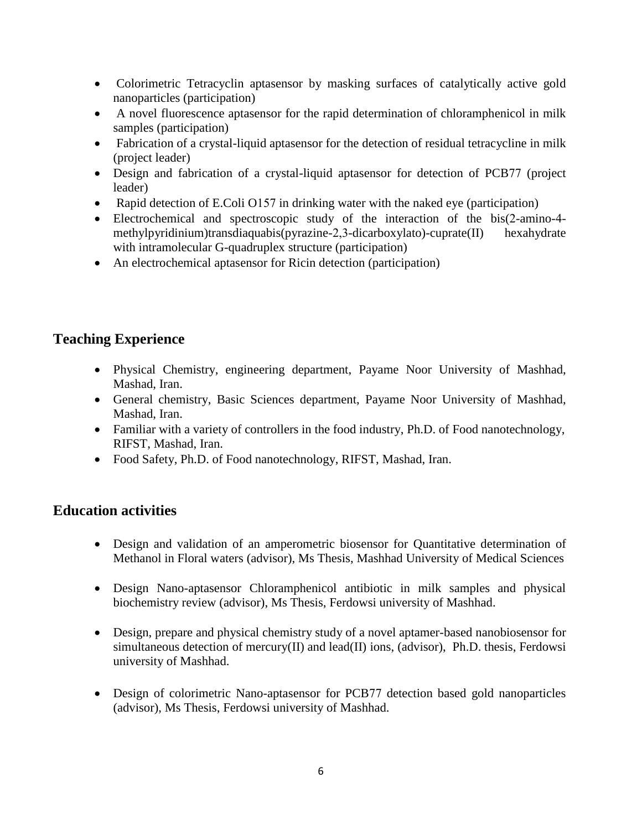- Colorimetric Tetracyclin aptasensor by masking surfaces of catalytically active gold nanoparticles (participation)
- A novel fluorescence aptasensor for the rapid determination of chloramphenicol in milk samples (participation)
- Fabrication of a crystal-liquid aptasensor for the detection of residual tetracycline in milk (project leader)
- Design and fabrication of a crystal-liquid aptasensor for detection of PCB77 (project leader)
- Rapid detection of E.Coli O157 in drinking water with the naked eye (participation)
- Electrochemical and spectroscopic study of the interaction of the bis(2-amino-4 methylpyridinium)transdiaquabis(pyrazine-2,3-dicarboxylato)-cuprate(II) hexahydrate with intramolecular G-quadruplex structure (participation)
- An electrochemical aptasensor for Ricin detection (participation)

# **Teaching Experience**

- Physical Chemistry, engineering department, Payame Noor University of Mashhad, Mashad, Iran.
- General chemistry, Basic Sciences department, Payame Noor University of Mashhad, Mashad, Iran.
- Familiar with a variety of controllers in the food industry, Ph.D. of Food nanotechnology, RIFST, Mashad, Iran.
- Food Safety, Ph.D. of Food nanotechnology, RIFST, Mashad, Iran.

# **Education activities**

- Design and validation of an amperometric biosensor for Quantitative determination of Methanol in Floral waters (advisor), [Ms Thesis,](https://www.researchgate.net/publication/309068722_Ms_Thesis_Yuksek_Lisans_Tezi) Mashhad University of Medical Sciences
- Design Nano-aptasensor Chloramphenicol antibiotic in milk samples and physical biochemistry review (advisor), [Ms Thesis,](https://www.researchgate.net/publication/309068722_Ms_Thesis_Yuksek_Lisans_Tezi) Ferdowsi university of Mashhad.
- Design, prepare and physical chemistry study of a novel aptamer-based nanobiosensor for simultaneous detection of mercury(II) and lead(II) ions, (advisor), [Ph.D. thesis,](http://www.sciencemag.org/careers/2018/04/how-write-your-phd-thesis) Ferdowsi university of Mashhad.
- Design of colorimetric Nano-aptasensor for PCB77 detection based gold nanoparticles (advisor), [Ms Thesis,](https://www.researchgate.net/publication/309068722_Ms_Thesis_Yuksek_Lisans_Tezi) Ferdowsi university of Mashhad.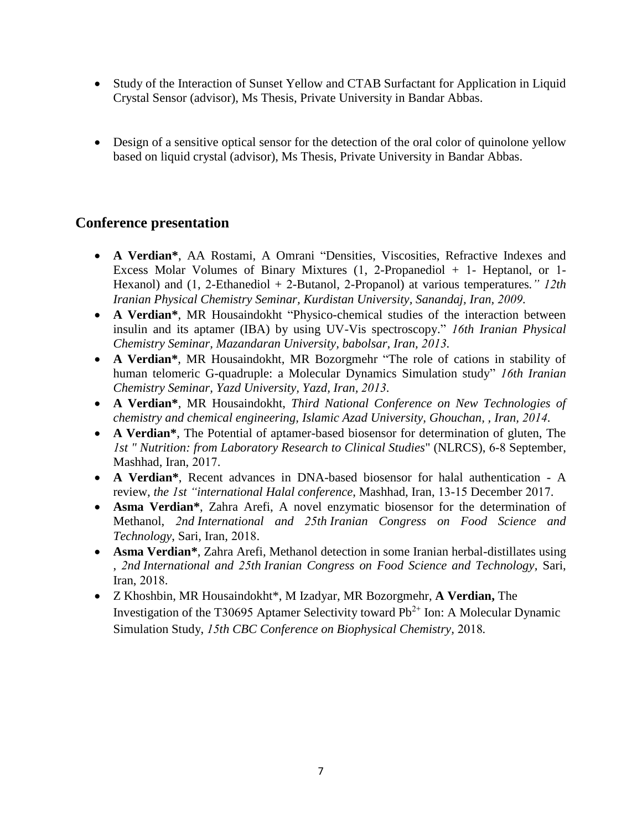- Study of the Interaction of Sunset Yellow and CTAB Surfactant for Application in Liquid Crystal Sensor (advisor), [Ms Thesis,](https://www.researchgate.net/publication/309068722_Ms_Thesis_Yuksek_Lisans_Tezi) Private University in Bandar Abbas.
- Design of a sensitive optical sensor for the detection of the oral color of quinolone yellow based on liquid crystal (advisor), [Ms Thesis,](https://www.researchgate.net/publication/309068722_Ms_Thesis_Yuksek_Lisans_Tezi) Private University in Bandar Abbas.

# **Conference presentation**

- **A Verdian\***, AA Rostami, A Omrani "Densities, Viscosities, Refractive Indexes and Excess Molar Volumes of Binary Mixtures (1, 2-Propanediol + 1- Heptanol, or 1- Hexanol) and (1, 2-Ethanediol + 2-Butanol, 2-Propanol) at various temperatures*." 12th Iranian Physical Chemistry Seminar, Kurdistan University, Sanandaj, Iran, 2009.*
- **A Verdian\***, MR Housaindokht "Physico-chemical studies of the interaction between insulin and its aptamer (IBA) by using UV-Vis spectroscopy." *16th Iranian Physical Chemistry Seminar, Mazandaran University, babolsar, Iran, 2013.*
- **A Verdian\***, MR Housaindokht, MR Bozorgmehr "The role of cations in stability of human telomeric G-quadruple: a Molecular Dynamics Simulation study" *16th Iranian Chemistry Seminar, Yazd University, Yazd, Iran, 2013.*
- **A Verdian\***, MR Housaindokht, *Third National Conference on New Technologies of chemistry and chemical engineering, [Islamic Azad University,](http://en.wikipedia.org/wiki/Islamic_Azad_University) Ghouchan, , Iran, 2014.*
- **A Verdian\***, The Potential of aptamer-based biosensor for determination of gluten, The *1st " Nutrition: from Laboratory Research to Clinical Studies*" (NLRCS), 6-8 September, Mashhad, Iran, 2017.
- **A Verdian\***, Recent advances in DNA-based biosensor for halal authentication A review, *the 1st "international Halal conference*, Mashhad, Iran, 13-15 December 2017.
- **Asma Verdian\***, Zahra Arefi, A novel [enzymatic](http://www.sciencedirect.com/science/article/pii/S073497501100156X) biosensor for the determination of Methanol, *2nd International and 25th Iranian Congress on Food Science and Technology*, Sari, Iran, 2018.
- **Asma Verdian\***, Zahra Arefi, Methanol detection in some Iranian herbal-distillates using [,](http://pubs.rsc.org/en/content/articlehtml/1999/an/a905295j) *2nd International and 25th Iranian Congress on Food Science and Technology*, Sari, Iran, 2018.
- Z Khoshbin, MR Housaindokht\*, M Izadyar, MR Bozorgmehr, **A Verdian,** The Investigation of the T30695 Aptamer Selectivity toward  $Pb^{2+}$  Ion: A Molecular Dynamic Simulation Study, *15th CBC Conference on Biophysical Chemistry,* 2018*.*